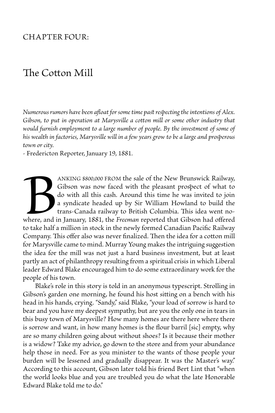## Chapter Four:

## The Cotton Mill

*Numerous rumors have been afloat for some time past respecting the intentions of Alex. Gibson, to put in operation at Marysville a cotton mill or some other industry that*  would furnish employment to a large number of people. By the investment of some of *his wealth in factories, Marysville will in a few years grow to be a large and prosperous town or city.*

- Fredericton Reporter, January 19, 1881.

ANKING \$800,000 FROM the sale of the New Brunswick Railway,<br>Gibson was now faced with the pleasant prospect of what to<br>do with all this cash. Around this time he was invited to join<br>a syndicate headed up by Sir William How Gibson was now faced with the pleasant prospect of what to do with all this cash. Around this time he was invited to join a syndicate headed up by Sir William Howland to build the trans-Canada railway to British Columbia. This idea went nowhere, and in January, 1881, the *Freeman* reported that Gibson had offered to take half a million in stock in the newly formed Canadian Pacific Railway Company. This offer also was never finalized. Then the idea for a cotton mill for Marysville came to mind. Murray Young makes the intriguing suggestion the idea for the mill was not just a hard business investment, but at least partly an act of philanthropy resulting from a spiritual crisis in which Liberal leader Edward Blake encouraged him to do some extraordinary work for the people of his town.

Blake's role in this story is told in an anonymous typescript. Strolling in Gibson's garden one morning, he found his host sitting on a bench with his head in his hands, crying. "Sandy," said Blake, "your load of sorrow is hard to bear and you have my deepest sympathy, but are you the only one in tears in this busy town of Marysville? How many homes are there here where there is sorrow and want, in how many homes is the flour barril [sic] empty, why are so many children going about without shoes? Is it because their mother is a widow? Take my advice, go down to the store and from your abundance help those in need. For as you minister to the wants of those people your burden will be lessened and gradually disappear. It was the Master's way." According to this account, Gibson later told his friend Bert Lint that "when the world looks blue and you are troubled you do what the late Honorable Edward Blake told me to do."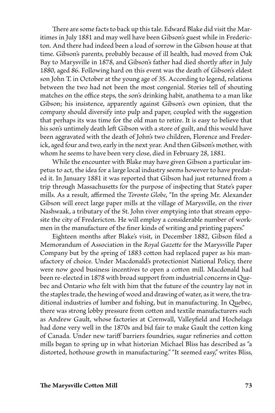There are some facts to back up this tale. Edward Blake did visit the Maritimes in July 1881 and may well have been Gibson's guest while in Fredericton. And there had indeed been a load of sorrow in the Gibson house at that time. Gibson's parents, probably because of ill health, had moved from Oak Bay to Marysville in 1878, and Gibson's father had died shortly after in July 1880, aged 86. Following hard on this event was the death of Gibson's eldest son John T. in October at the young age of 35. According to legend, relations between the two had not been the most congenial. Stories tell of shouting matches on the office steps, the son's drinking habit, anathema to a man like Gibson; his insistence, apparently against Gibson's own opinion, that the company should diversify into pulp and paper, coupled with the suggestion that perhaps its was time for the old man to retire. It is easy to believe that his son's untimely death left Gibson with a store of guilt, and this would have been aggravated with the death of John's two children, Florence and Frederick, aged four and two, early in the next year. And then Gibson's mother, with whom he seems to have been very close, died in February 28, 1881.

While the encounter with Blake may have given Gibson a particular impetus to act, the idea for a large local industry seems however to have predated it. In January 1881 it was reported that Gibson had just returned from a trip through Massachusetts for the purpose of inspecting that State's paper mills. As a result, affirmed the *Toronto Globe*, "In the spring Mr. Alexander Gibson will erect large paper mills at the village of Marysville, on the river Nashwaak, a tributary of the St. John river emptying into that stream opposite the city of Fredericton. He will employ a considerable number of workmen in the manufacture of the finer kinds of writing and printing papers."

 Eighteen months after Blake's visit, in December 1882, Gibson filed a Memorandum of Association in the *Royal Gazette* for the Marysville Paper Company but by the spring of 1883 cotton had replaced paper as his manufactory of choice. Under Macdonald's protectionist National Policy, there were now good business incentives to open a cotton mill. Macdonald had been re-elected in 1878 with broad support from industrial concerns in Quebec and Ontario who felt with him that the future of the country lay not in the staples trade, the hewing of wood and drawing of water, as it were, the traditional industries of lumber and fishing, but in manufacturing. In Quebec, there was strong lobby pressure from cotton and textile manufacturers such as Andrew Gault, whose factories at Cornwall, Valleyfield and Hochelaga had done very well in the 1870s and bid fair to make Gault the cotton king of Canada. Under new tariff barriers foundries, sugar refineries and cotton mills began to spring up in what historian Michael Bliss has described as "a distorted, hothouse growth in manufacturing." "It seemed easy," writes Bliss,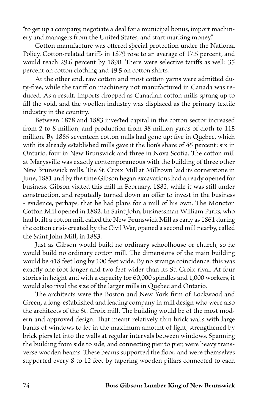"to get up a company, negotiate a deal for a municipal bonus, import machinery and managers from the United States, and start marking money."

Cotton manufacture was offered special protection under the National Policy. Cotton-related tariffs in 1879 rose to an average of 17.5 percent, and would reach 29.6 percent by 1890. There were selective tariffs as well: 35 percent on cotton clothing and 49.5 on cotton shirts.

 At the other end, raw cotton and most cotton yarns were admitted duty-free, while the tariff on machinery not manufactured in Canada was reduced. As a result, imports dropped as Canadian cotton mills sprang up to fill the void, and the woollen industry was displaced as the primary textile industry in the country.

Between 1878 and 1883 invested capital in the cotton sector increased from 2 to 8 million, and production from 38 million yards of cloth to 115 million. By 1885 seventeen cotton mills had gone up: five in Quebec, which with its already established mills gave it the lion's share of 45 percent; six in Ontario, four in New Brunswick and three in Nova Scotia. The cotton mill at Marysville was exactly contemporaneous with the building of three other New Brunswick mills. The St. Croix Mill at Milltown laid its cornerstone in June, 1881 and by the time Gibson began excavations had already opened for business. Gibson visited this mill in February, 1882, while it was still under construction, and reputedly turned down an offer to invest in the business - evidence, perhaps, that he had plans for a mill of his own. The Moncton Cotton Mill opened in 1882. In Saint John, businessman William Parks, who had built a cotton mill called the New Brunswick Mill as early as 1861 during the cotton crisis created by the Civil War, opened a second mill nearby, called the Saint John Mill, in 1883.

Just as Gibson would build no ordinary schoolhouse or church, so he would build no ordinary cotton mill. The dimensions of the main building would be 418 feet long by 100 feet wide. By no strange coincidence, this was exactly one foot longer and two feet wider than its St. Croix rival. At four stories in height and with a capacity for 60,000 spindles and 1,000 workers, it would also rival the size of the larger mills in Quebec and Ontario.

The architects were the Boston and New York firm of Lockwood and Green, a long-established and leading company in mill design who were also the architects of the St. Croix mill. The building would be of the most modern and approved design. That meant relatively thin brick walls with large banks of windows to let in the maximum amount of light, strengthened by brick piers let into the walls at regular intervals between windows. Spanning the building from side to side, and connecting pier to pier, were heavy transverse wooden beams. These beams supported the floor, and were themselves supported every 8 to 12 feet by tapering wooden pillars connected to each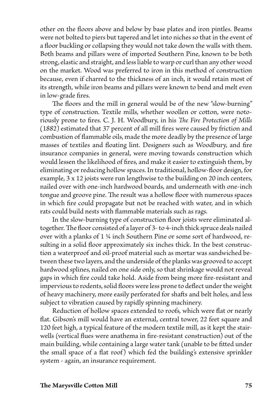other on the floors above and below by base plates and iron pintles. Beams were not bolted to piers but tapered and let into niches so that in the event of a floor buckling or collapsing they would not take down the walls with them. Both beams and pillars were of imported Southern Pine, known to be both strong, elastic and straight, and less liable to warp or curl than any other wood on the market. Wood was preferred to iron in this method of construction because, even if charred to the thickness of an inch, it would retain most of its strength, while iron beams and pillars were known to bend and melt even in low-grade fires.

The floors and the mill in general would be of the new "slow-burning" type of construction. Textile mills, whether woollen or cotton, were notoriously prone to fires. C. J. H. Woodbury, in his *The Fire Protection of Mills*  (1882) estimated that 37 percent of all mill fires were caused by friction and combustion of flammable oils, made the more deadly by the presence of large masses of textiles and floating lint. Designers such as Woodbury, and fire insurance companies in general, were moving towards construction which would lessen the likelihood of fires, and make it easier to extinguish them, by eliminating or reducing hollow spaces. In traditional, hollow-floor design, for example, 3 x 12 joists were run lengthwise to the building on 20 inch centers, nailed over with one-inch hardwood boards, and underneath with one-inch tongue and groove pine. The result was a hollow floor with numerous spaces in which fire could propagate but not be reached with water, and in which rats could build nests with flammable materials such as rags.

 In the slow-burning type of construction floor joists were eliminated altogether. The floor consisted of a layer of 3- to 4-inch thick spruce deals nailed over with a planks of 1 ¼ inch Southern Pine or some sort of hardwood, resulting in a solid floor approximately six inches thick. In the best construction a waterproof and oil-proof material such as mortar was sandwiched between these two layers, and the underside of the planks was grooved to accept hardwood splines, nailed on one side only, so that shrinkage would not reveal gaps in which fire could take hold. Aside from being more fire-resistant and impervious to rodents, solid floors were less prone to deflect under the weight of heavy machinery, more easily perforated for shafts and belt holes, and less subject to vibration caused by rapidly spinning machinery.

 Reduction of hollow spaces extended to roofs, which were flat or nearly flat. Gibson's mill would have an external, central tower, 22 feet square and 120 feet high, a typical feature of the modern textile mill, as it kept the stairwells (vertical flues were anathema in fire-resistant construction) out of the main building, while containing a large water tank (unable to be fitted under the small space of a flat roof) which fed the building's extensive sprinkler system - again, an insurance requirement.